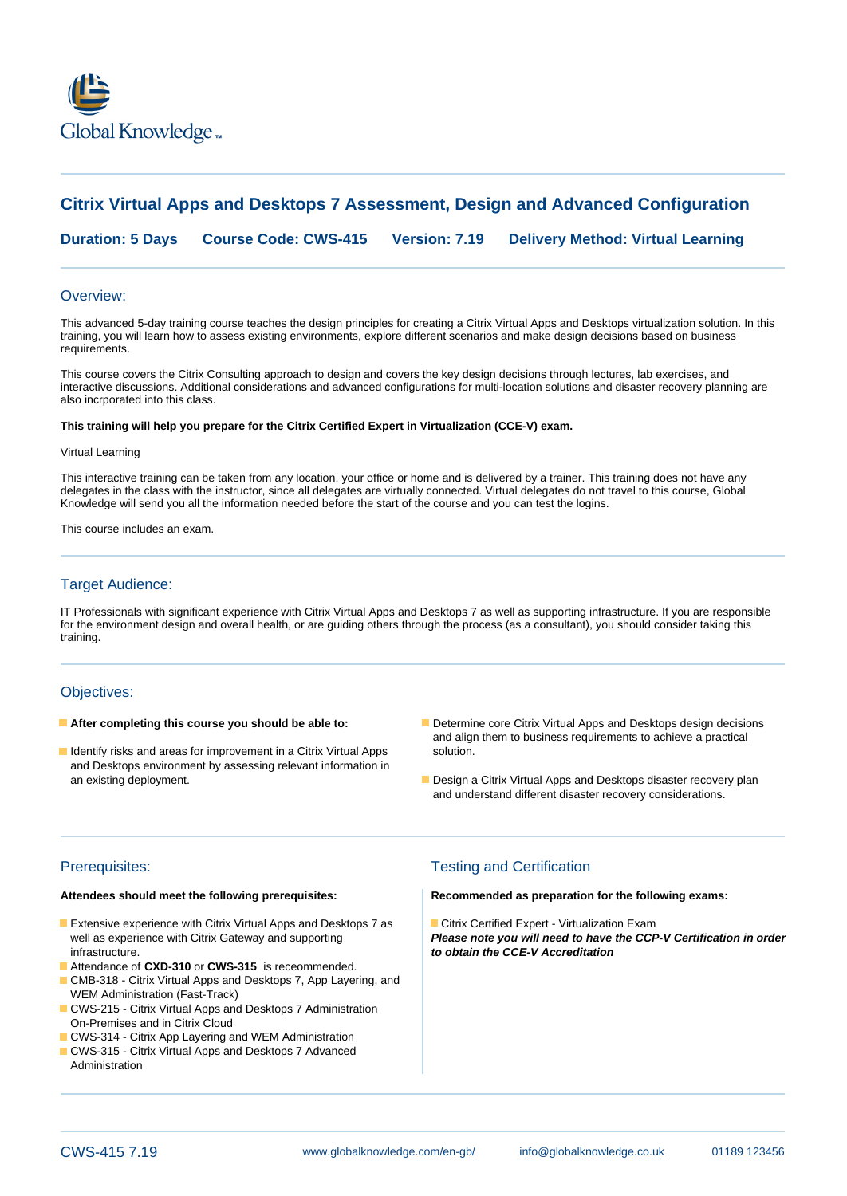

# **Citrix Virtual Apps and Desktops 7 Assessment, Design and Advanced Configuration**

**Duration: 5 Days Course Code: CWS-415 Version: 7.19 Delivery Method: Virtual Learning**

### Overview:

This advanced 5-day training course teaches the design principles for creating a Citrix Virtual Apps and Desktops virtualization solution. In this training, you will learn how to assess existing environments, explore different scenarios and make design decisions based on business requirements.

This course covers the Citrix Consulting approach to design and covers the key design decisions through lectures, lab exercises, and interactive discussions. Additional considerations and advanced configurations for multi-location solutions and disaster recovery planning are also incrporated into this class.

### **This training will help you prepare for the Citrix Certified Expert in Virtualization (CCE-V) exam.**

### Virtual Learning

This interactive training can be taken from any location, your office or home and is delivered by a trainer. This training does not have any delegates in the class with the instructor, since all delegates are virtually connected. Virtual delegates do not travel to this course, Global Knowledge will send you all the information needed before the start of the course and you can test the logins.

This course includes an exam.

## Target Audience:

IT Professionals with significant experience with Citrix Virtual Apps and Desktops 7 as well as supporting infrastructure. If you are responsible for the environment design and overall health, or are guiding others through the process (as a consultant), you should consider taking this training.

### Objectives:

- 
- I Identify risks and areas for improvement in a Citrix Virtual Apps solution. and Desktops environment by assessing relevant information in
- **After completing this course you should be able to: Determine core Citrix Virtual Apps and Desktops design decisions** and align them to business requirements to achieve a practical
	- an existing deployment. The state of the state of the Design a Citrix Virtual Apps and Desktops disaster recovery plan and understand different disaster recovery considerations.

- **Extensive experience with Citrix Virtual Apps and Desktops 7 as Citrix Certified Expert Virtualization Exam** infrastructure. **to obtain the CCE-V Accreditation**
- Attendance of **CXD-310** or **CWS-315** is receommended.
- **CMB-318 Citrix Virtual Apps and Desktops 7, App Layering, and** WEM Administration (Fast-Track)
- CWS-215 Citrix Virtual Apps and Desktops 7 Administration On-Premises and in Citrix Cloud
- CWS-314 Citrix App Layering and WEM Administration
- CWS-315 Citrix Virtual Apps and Desktops 7 Advanced Administration

## Prerequisites: Testing and Certification

**Attendees should meet the following prerequisites: Recommended as preparation for the following exams:**

well as experience with Citrix Gateway and supporting **Please note you will need to have the CCP-V Certification in order**